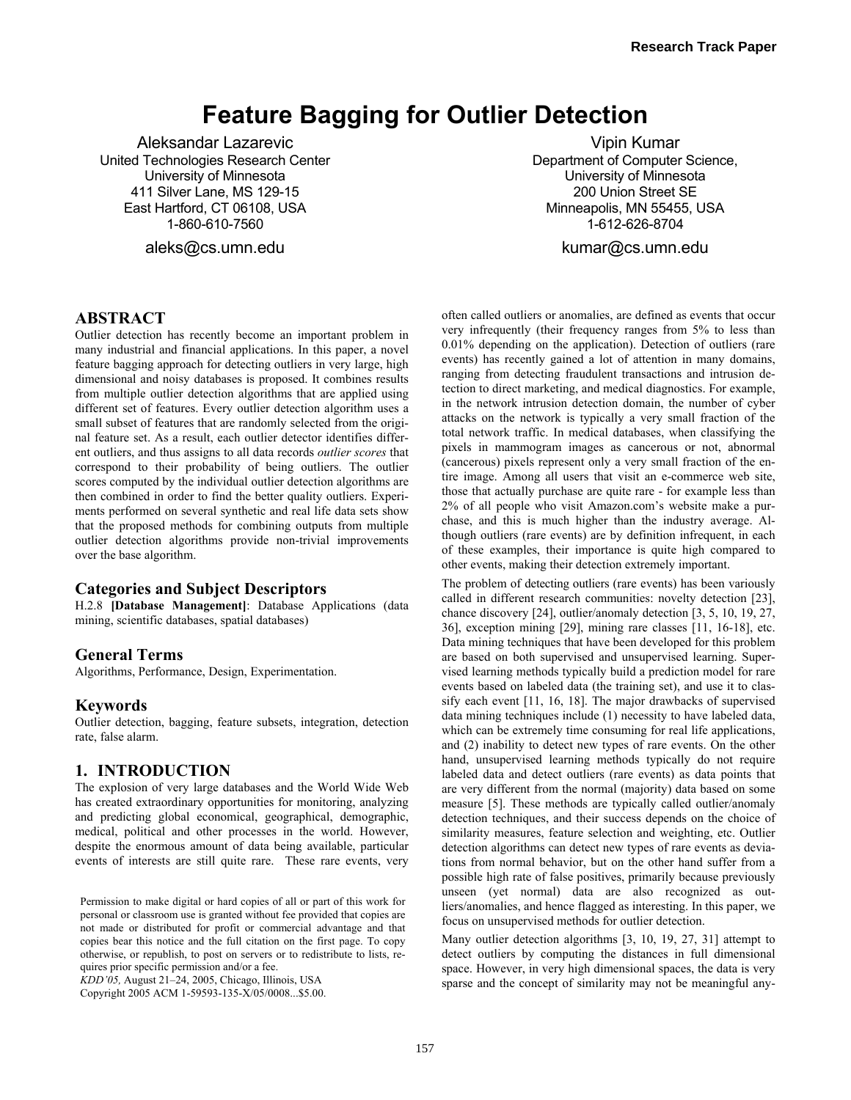# **Feature Bagging for Outlier Detection**

Aleksandar Lazarevic United Technologies Research Center University of Minnesota 411 Silver Lane, MS 129-15 East Hartford, CT 06108, USA 1-860-610-7560

aleks@cs.umn.edu

 Vipin Kumar Department of Computer Science, University of Minnesota 200 Union Street SE Minneapolis, MN 55455, USA 1-612-626-8704

kumar@cs.umn.edu

### **ABSTRACT**

Outlier detection has recently become an important problem in many industrial and financial applications. In this paper, a novel feature bagging approach for detecting outliers in very large, high dimensional and noisy databases is proposed. It combines results from multiple outlier detection algorithms that are applied using different set of features. Every outlier detection algorithm uses a small subset of features that are randomly selected from the original feature set. As a result, each outlier detector identifies different outliers, and thus assigns to all data records *outlier scores* that correspond to their probability of being outliers. The outlier scores computed by the individual outlier detection algorithms are then combined in order to find the better quality outliers. Experiments performed on several synthetic and real life data sets show that the proposed methods for combining outputs from multiple outlier detection algorithms provide non-trivial improvements over the base algorithm.

#### **Categories and Subject Descriptors**

H.2.8 **[Database Management]**: Database Applications (data mining, scientific databases, spatial databases)

### **General Terms**

Algorithms, Performance, Design, Experimentation.

#### **Keywords**

Outlier detection, bagging, feature subsets, integration, detection rate, false alarm.

### **1. INTRODUCTION**

The explosion of very large databases and the World Wide Web has created extraordinary opportunities for monitoring, analyzing and predicting global economical, geographical, demographic, medical, political and other processes in the world. However, despite the enormous amount of data being available, particular events of interests are still quite rare. These rare events, very

Permission to make digital or hard copies of all or part of this work for personal or classroom use is granted without fee provided that copies are not made or distributed for profit or commercial advantage and that copies bear this notice and the full citation on the first page. To copy otherwise, or republish, to post on servers or to redistribute to lists, requires prior specific permission and/or a fee.

*KDD'05,* August 21–24, 2005, Chicago, Illinois, USA

Copyright 2005 ACM 1-59593-135-X/05/0008...\$5.00.

often called outliers or anomalies, are defined as events that occur very infrequently (their frequency ranges from 5% to less than 0.01% depending on the application). Detection of outliers (rare events) has recently gained a lot of attention in many domains, ranging from detecting fraudulent transactions and intrusion detection to direct marketing, and medical diagnostics. For example, in the network intrusion detection domain, the number of cyber attacks on the network is typically a very small fraction of the total network traffic. In medical databases, when classifying the pixels in mammogram images as cancerous or not, abnormal (cancerous) pixels represent only a very small fraction of the entire image. Among all users that visit an e-commerce web site, those that actually purchase are quite rare - for example less than 2% of all people who visit Amazon.com's website make a purchase, and this is much higher than the industry average. Although outliers (rare events) are by definition infrequent, in each of these examples, their importance is quite high compared to other events, making their detection extremely important.

The problem of detecting outliers (rare events) has been variously called in different research communities: novelty detection [23], chance discovery [24], outlier/anomaly detection [3, 5, 10, 19, 27, 36], exception mining [29], mining rare classes [11, 16-18], etc. Data mining techniques that have been developed for this problem are based on both supervised and unsupervised learning. Supervised learning methods typically build a prediction model for rare events based on labeled data (the training set), and use it to classify each event [11, 16, 18]. The major drawbacks of supervised data mining techniques include (1) necessity to have labeled data, which can be extremely time consuming for real life applications, and (2) inability to detect new types of rare events. On the other hand, unsupervised learning methods typically do not require labeled data and detect outliers (rare events) as data points that are very different from the normal (majority) data based on some measure [5]. These methods are typically called outlier/anomaly detection techniques, and their success depends on the choice of similarity measures, feature selection and weighting, etc. Outlier detection algorithms can detect new types of rare events as deviations from normal behavior, but on the other hand suffer from a possible high rate of false positives, primarily because previously unseen (yet normal) data are also recognized as outliers/anomalies, and hence flagged as interesting. In this paper, we focus on unsupervised methods for outlier detection.

Many outlier detection algorithms [3, 10, 19, 27, 31] attempt to detect outliers by computing the distances in full dimensional space. However, in very high dimensional spaces, the data is very sparse and the concept of similarity may not be meaningful any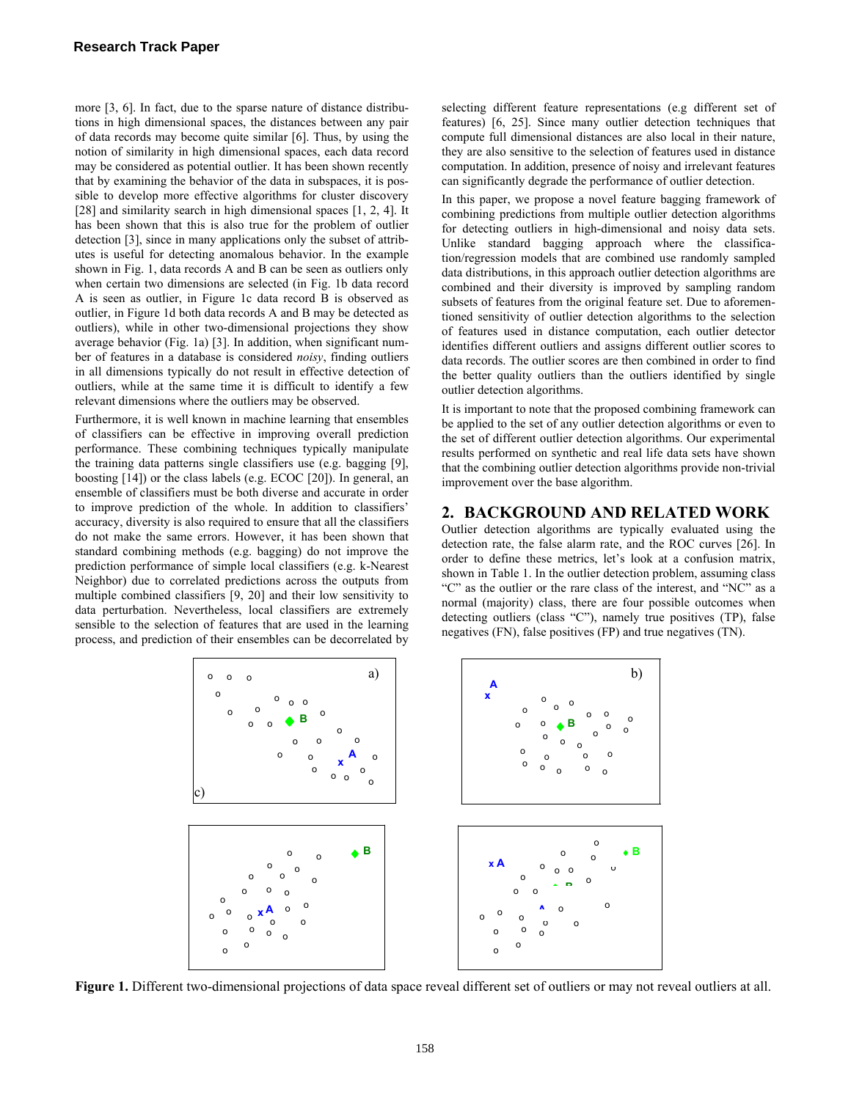more [3, 6]. In fact, due to the sparse nature of distance distributions in high dimensional spaces, the distances between any pair of data records may become quite similar [6]. Thus, by using the notion of similarity in high dimensional spaces, each data record may be considered as potential outlier. It has been shown recently that by examining the behavior of the data in subspaces, it is possible to develop more effective algorithms for cluster discovery [28] and similarity search in high dimensional spaces [1, 2, 4]. It has been shown that this is also true for the problem of outlier detection [3], since in many applications only the subset of attributes is useful for detecting anomalous behavior. In the example shown in Fig. 1, data records A and B can be seen as outliers only when certain two dimensions are selected (in Fig. 1b data record A is seen as outlier, in Figure 1c data record B is observed as outlier, in Figure 1d both data records A and B may be detected as outliers), while in other two-dimensional projections they show average behavior (Fig. 1a) [3]. In addition, when significant number of features in a database is considered *noisy*, finding outliers in all dimensions typically do not result in effective detection of outliers, while at the same time it is difficult to identify a few relevant dimensions where the outliers may be observed.

Furthermore, it is well known in machine learning that ensembles of classifiers can be effective in improving overall prediction performance. These combining techniques typically manipulate the training data patterns single classifiers use (e.g. bagging [9], boosting [14]) or the class labels (e.g. ECOC [20]). In general, an ensemble of classifiers must be both diverse and accurate in order to improve prediction of the whole. In addition to classifiers' accuracy, diversity is also required to ensure that all the classifiers do not make the same errors. However, it has been shown that standard combining methods (e.g. bagging) do not improve the prediction performance of simple local classifiers (e.g. k-Nearest Neighbor) due to correlated predictions across the outputs from multiple combined classifiers [9, 20] and their low sensitivity to data perturbation. Nevertheless, local classifiers are extremely sensible to the selection of features that are used in the learning process, and prediction of their ensembles can be decorrelated by

selecting different feature representations (e.g different set of features) [6, 25]. Since many outlier detection techniques that compute full dimensional distances are also local in their nature, they are also sensitive to the selection of features used in distance computation. In addition, presence of noisy and irrelevant features can significantly degrade the performance of outlier detection.

In this paper, we propose a novel feature bagging framework of combining predictions from multiple outlier detection algorithms for detecting outliers in high-dimensional and noisy data sets. Unlike standard bagging approach where the classification/regression models that are combined use randomly sampled data distributions, in this approach outlier detection algorithms are combined and their diversity is improved by sampling random subsets of features from the original feature set. Due to aforementioned sensitivity of outlier detection algorithms to the selection of features used in distance computation, each outlier detector identifies different outliers and assigns different outlier scores to data records. The outlier scores are then combined in order to find the better quality outliers than the outliers identified by single outlier detection algorithms.

It is important to note that the proposed combining framework can be applied to the set of any outlier detection algorithms or even to the set of different outlier detection algorithms. Our experimental results performed on synthetic and real life data sets have shown that the combining outlier detection algorithms provide non-trivial improvement over the base algorithm.

### **2. BACKGROUND AND RELATED WORK**

Outlier detection algorithms are typically evaluated using the detection rate, the false alarm rate, and the ROC curves [26]. In order to define these metrics, let's look at a confusion matrix, shown in Table 1. In the outlier detection problem, assuming class "C" as the outlier or the rare class of the interest, and "NC" as a normal (majority) class, there are four possible outcomes when detecting outliers (class "C"), namely true positives (TP), false negatives (FN), false positives (FP) and true negatives (TN).



**Figure 1.** Different two-dimensional projections of data space reveal different set of outliers or may not reveal outliers at all.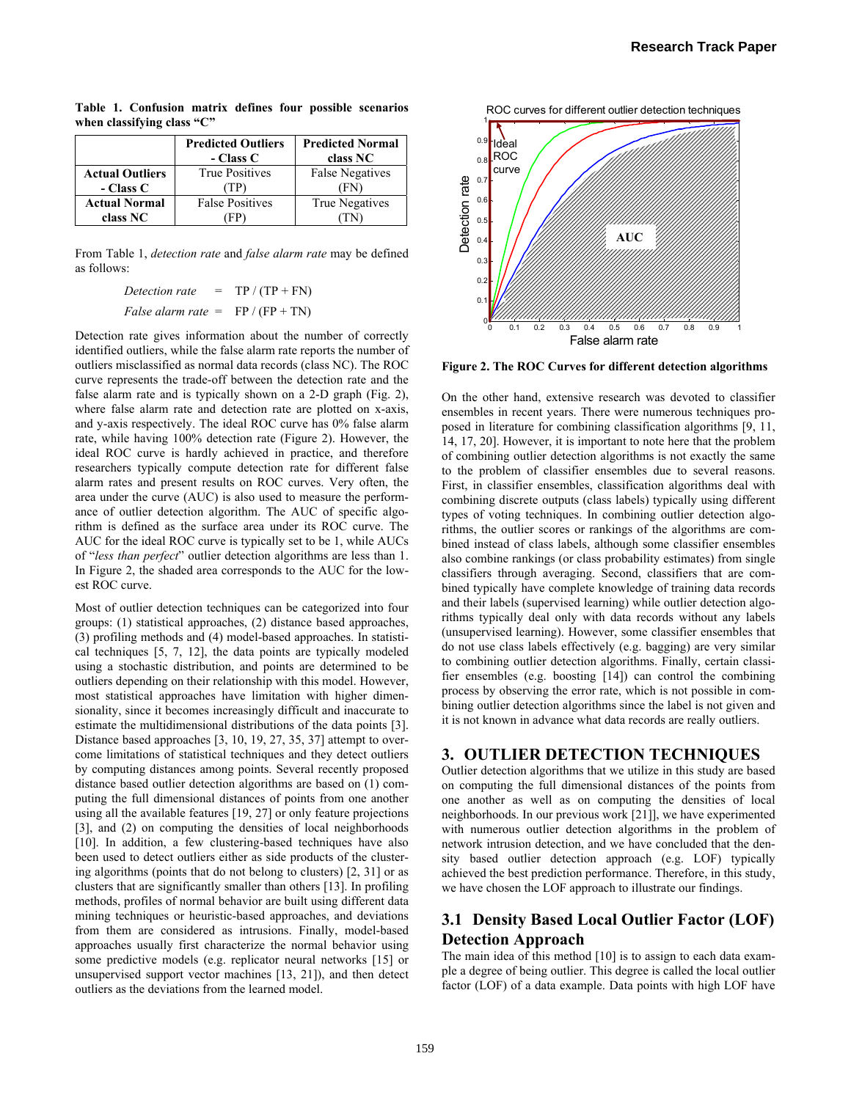|                                     | <b>Predicted Outliers</b><br>- Class C | <b>Predicted Normal</b><br>class NC |
|-------------------------------------|----------------------------------------|-------------------------------------|
| <b>Actual Outliers</b><br>- Class C | <b>True Positives</b><br>(TP)          | <b>False Negatives</b>              |
| <b>Actual Normal</b><br>class NC    | <b>False Positives</b>                 | True Negatives                      |

**Table 1. Confusion matrix defines four possible scenarios when classifying class "C"** 

From Table 1, *detection rate* and *false alarm rate* may be defined as follows:

> $Detection\ rate = TP/(TP + FN)$ *False alarm rate* =  $FP / (FP + TN)$

Detection rate gives information about the number of correctly identified outliers, while the false alarm rate reports the number of outliers misclassified as normal data records (class NC). The ROC curve represents the trade-off between the detection rate and the false alarm rate and is typically shown on a 2-D graph (Fig. 2), where false alarm rate and detection rate are plotted on x-axis, and y-axis respectively. The ideal ROC curve has 0% false alarm rate, while having 100% detection rate (Figure 2). However, the ideal ROC curve is hardly achieved in practice, and therefore researchers typically compute detection rate for different false alarm rates and present results on ROC curves. Very often, the area under the curve (AUC) is also used to measure the performance of outlier detection algorithm. The AUC of specific algorithm is defined as the surface area under its ROC curve. The AUC for the ideal ROC curve is typically set to be 1, while AUCs of "*less than perfect*" outlier detection algorithms are less than 1. In Figure 2, the shaded area corresponds to the AUC for the lowest ROC curve.

Most of outlier detection techniques can be categorized into four groups: (1) statistical approaches, (2) distance based approaches, (3) profiling methods and (4) model-based approaches. In statistical techniques [5, 7, 12], the data points are typically modeled using a stochastic distribution, and points are determined to be outliers depending on their relationship with this model. However, most statistical approaches have limitation with higher dimensionality, since it becomes increasingly difficult and inaccurate to estimate the multidimensional distributions of the data points [3]. Distance based approaches [3, 10, 19, 27, 35, 37] attempt to overcome limitations of statistical techniques and they detect outliers by computing distances among points. Several recently proposed distance based outlier detection algorithms are based on (1) computing the full dimensional distances of points from one another using all the available features [19, 27] or only feature projections [3], and (2) on computing the densities of local neighborhoods [10]. In addition, a few clustering-based techniques have also been used to detect outliers either as side products of the clustering algorithms (points that do not belong to clusters) [2, 31] or as clusters that are significantly smaller than others [13]. In profiling methods, profiles of normal behavior are built using different data mining techniques or heuristic-based approaches, and deviations from them are considered as intrusions. Finally, model-based approaches usually first characterize the normal behavior using some predictive models (e.g. replicator neural networks [15] or unsupervised support vector machines [13, 21]), and then detect outliers as the deviations from the learned model.



**Figure 2. The ROC Curves for different detection algorithms** 

On the other hand, extensive research was devoted to classifier ensembles in recent years. There were numerous techniques proposed in literature for combining classification algorithms [9, 11, 14, 17, 20]. However, it is important to note here that the problem of combining outlier detection algorithms is not exactly the same to the problem of classifier ensembles due to several reasons. First, in classifier ensembles, classification algorithms deal with combining discrete outputs (class labels) typically using different types of voting techniques. In combining outlier detection algorithms, the outlier scores or rankings of the algorithms are combined instead of class labels, although some classifier ensembles also combine rankings (or class probability estimates) from single classifiers through averaging. Second, classifiers that are combined typically have complete knowledge of training data records and their labels (supervised learning) while outlier detection algorithms typically deal only with data records without any labels (unsupervised learning). However, some classifier ensembles that do not use class labels effectively (e.g. bagging) are very similar to combining outlier detection algorithms. Finally, certain classifier ensembles (e.g. boosting [14]) can control the combining process by observing the error rate, which is not possible in combining outlier detection algorithms since the label is not given and it is not known in advance what data records are really outliers.

### **3. OUTLIER DETECTION TECHNIQUES**

Outlier detection algorithms that we utilize in this study are based on computing the full dimensional distances of the points from one another as well as on computing the densities of local neighborhoods. In our previous work [21]], we have experimented with numerous outlier detection algorithms in the problem of network intrusion detection, and we have concluded that the density based outlier detection approach (e.g. LOF) typically achieved the best prediction performance. Therefore, in this study, we have chosen the LOF approach to illustrate our findings.

# **3.1 Density Based Local Outlier Factor (LOF) Detection Approach**

The main idea of this method [10] is to assign to each data example a degree of being outlier. This degree is called the local outlier factor (LOF) of a data example. Data points with high LOF have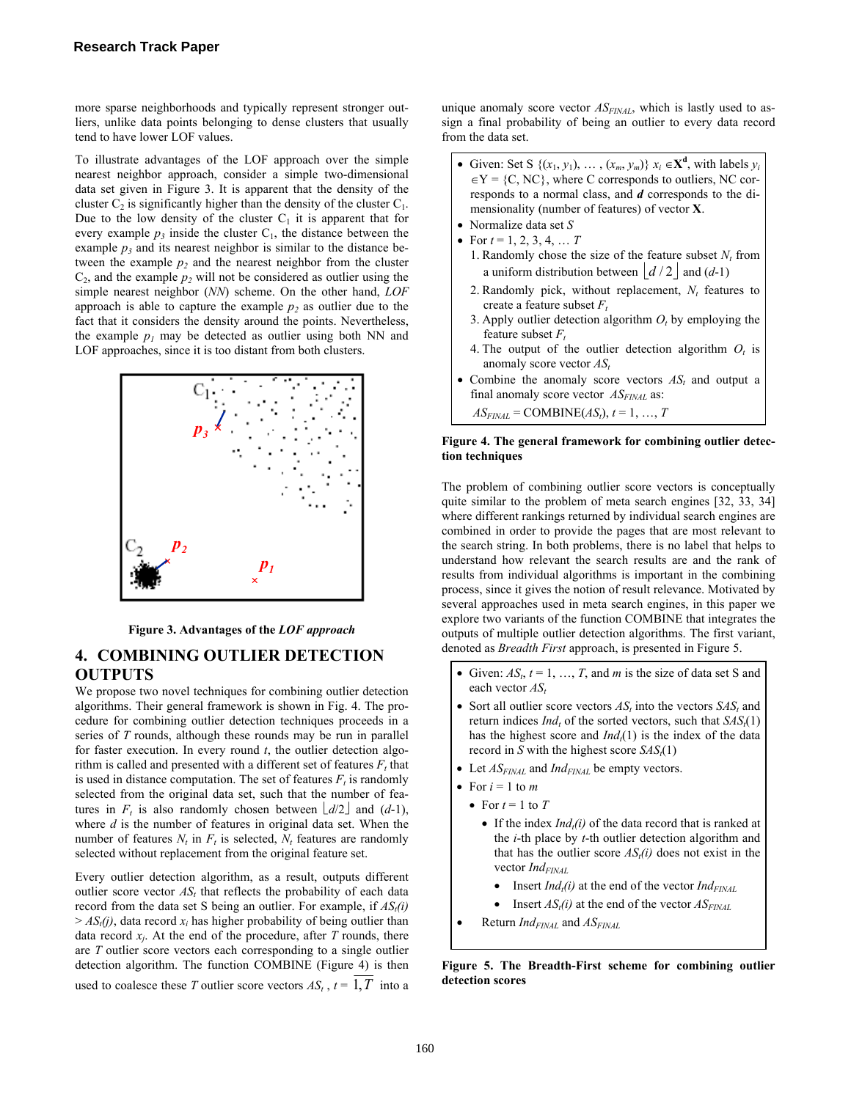more sparse neighborhoods and typically represent stronger outliers, unlike data points belonging to dense clusters that usually tend to have lower LOF values.

To illustrate advantages of the LOF approach over the simple nearest neighbor approach, consider a simple two-dimensional data set given in Figure 3. It is apparent that the density of the cluster  $C_2$  is significantly higher than the density of the cluster  $C_1$ . Due to the low density of the cluster  $C_1$  it is apparent that for every example  $p_3$  inside the cluster  $C_1$ , the distance between the example  $p_3$  and its nearest neighbor is similar to the distance between the example  $p_2$  and the nearest neighbor from the cluster  $C_2$ , and the example  $p_2$  will not be considered as outlier using the simple nearest neighbor (*NN*) scheme. On the other hand, *LOF* approach is able to capture the example  $p_2$  as outlier due to the fact that it considers the density around the points. Nevertheless, the example  $p_1$  may be detected as outlier using both NN and LOF approaches, since it is too distant from both clusters.



**Figure 3. Advantages of the** *LOF approach* 

### **4. COMBINING OUTLIER DETECTION OUTPUTS**

We propose two novel techniques for combining outlier detection algorithms. Their general framework is shown in Fig. 4. The procedure for combining outlier detection techniques proceeds in a series of *T* rounds, although these rounds may be run in parallel for faster execution. In every round *t*, the outlier detection algorithm is called and presented with a different set of features  $F_t$  that is used in distance computation. The set of features  $F_t$  is randomly selected from the original data set, such that the number of features in  $F_t$  is also randomly chosen between  $\lfloor d/2 \rfloor$  and  $(d-1)$ , where *d* is the number of features in original data set. When the number of features  $N_t$  in  $F_t$  is selected,  $N_t$  features are randomly selected without replacement from the original feature set.

Every outlier detection algorithm, as a result, outputs different outlier score vector  $AS<sub>t</sub>$  that reflects the probability of each data record from the data set S being an outlier. For example, if  $AS<sub>t</sub>(i)$  $> AS<sub>t</sub>(j)$ , data record  $x<sub>i</sub>$  has higher probability of being outlier than data record  $x_i$ . At the end of the procedure, after  $T$  rounds, there are *T* outlier score vectors each corresponding to a single outlier detection algorithm. The function COMBINE (Figure 4) is then

used to coalesce these *T* outlier score vectors  $AS_t$ ,  $t = \overline{1, T}$  into a

unique anomaly score vector  $AS_{FINAL}$ , which is lastly used to assign a final probability of being an outlier to every data record from the data set.

- Given: Set S  $\{(x_1, y_1), \ldots, (x_m, y_m)\}\ x_i \in \mathbf{X}^d$ , with labels  $y_i$  $\epsilon Y = \{C, NC\}$ , where C corresponds to outliers, NC corresponds to a normal class, and *d* corresponds to the dimensionality (number of features) of vector **X**.
- Normalize data set *S*
- For  $t = 1, 2, 3, 4, \ldots T$ 
	- 1. Randomly chose the size of the feature subset  $N_t$  from a uniform distribution between  $\left| d/2 \right|$  and  $\left( d$ -1)
	- 2. Randomly pick, without replacement,  $N_t$  features to create a feature subset  $F_t$
	- 3. Apply outlier detection algorithm  $O_t$  by employing the feature subset  $F_t$
	- 4. The output of the outlier detection algorithm  $O_t$  is anomaly score vector *ASt*
- Combine the anomaly score vectors  $AS_t$  and output a final anomaly score vector *ASFINAL* as:

 $AS_{FINAL} = COMBINE(AS_t), t = 1, ..., T$ 

#### **Figure 4. The general framework for combining outlier detection techniques**

The problem of combining outlier score vectors is conceptually quite similar to the problem of meta search engines [32, 33, 34] where different rankings returned by individual search engines are combined in order to provide the pages that are most relevant to the search string. In both problems, there is no label that helps to understand how relevant the search results are and the rank of results from individual algorithms is important in the combining process, since it gives the notion of result relevance. Motivated by several approaches used in meta search engines, in this paper we explore two variants of the function COMBINE that integrates the outputs of multiple outlier detection algorithms. The first variant, denoted as *Breadth First* approach, is presented in Figure 5.

- Given:  $AS_t$ ,  $t = 1, ..., T$ , and *m* is the size of data set S and each vector  $AS_t$
- Sort all outlier score vectors  $AS_t$  into the vectors  $SAS_t$  and return indices  $Ind_t$  of the sorted vectors, such that  $SAS_t(1)$ has the highest score and  $Ind<sub>t</sub>(1)$  is the index of the data record in *S* with the highest score  $SAS<sub>t</sub>(1)$
- Let  $AS_{\text{FINAL}}$  and *Ind<sub>FINAL</sub>* be empty vectors.
- For  $i = 1$  to  $m$ 
	- For  $t = 1$  to  $T$ 
		- If the index  $Ind_t(i)$  of the data record that is ranked at the *i*-th place by *t*-th outlier detection algorithm and that has the outlier score  $AS<sub>t</sub>(i)$  does not exist in the vector *IndFINAL*
			- Insert  $Ind_i(i)$  at the end of the vector  $Ind_{FINAL}$
			- Insert  $AS<sub>t</sub>(i)$  at the end of the vector  $AS<sub>FIMAL</sub>$
- Return *IndFINAL* and *ASFINAL*

**Figure 5. The Breadth-First scheme for combining outlier detection scores**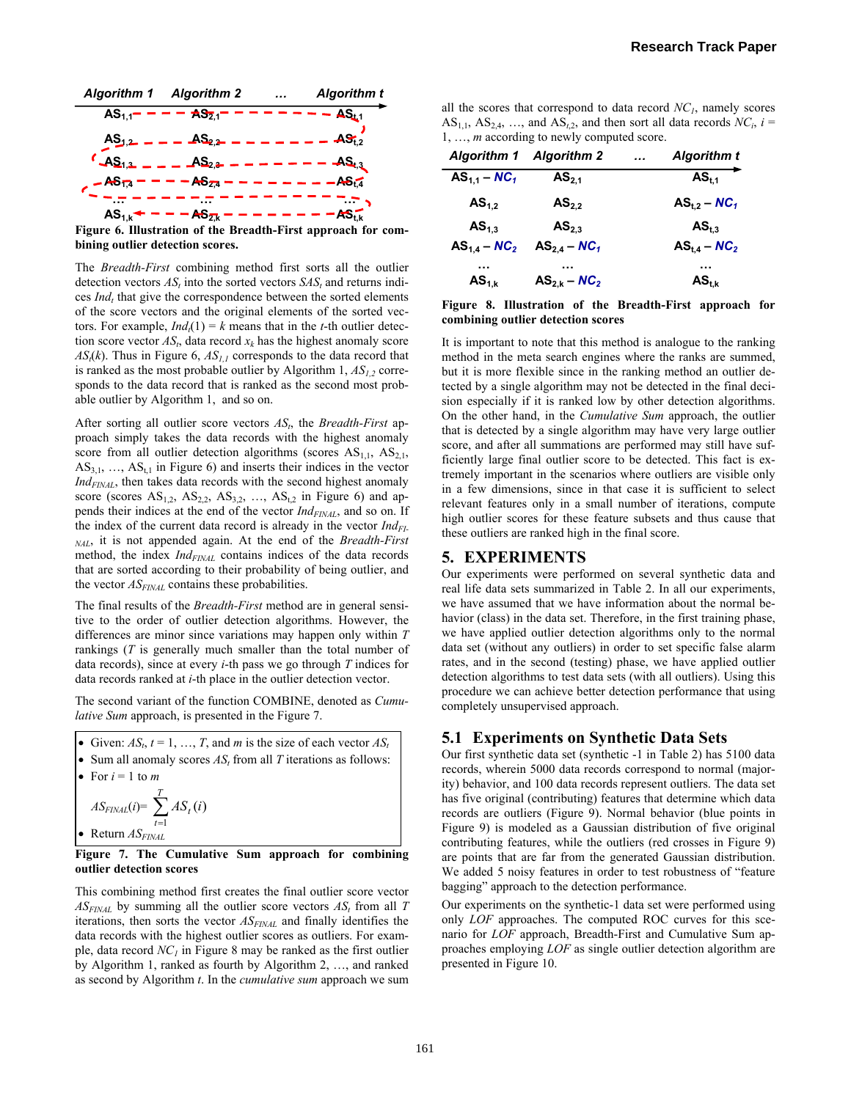

**Figure 6. Illustration of the Breadth-First approach for combining outlier detection scores.** 

The *Breadth-First* combining method first sorts all the outlier detection vectors  $AS_t$  into the sorted vectors  $SAS_t$  and returns indices *Ind<sub>t</sub>* that give the correspondence between the sorted elements of the score vectors and the original elements of the sorted vectors. For example,  $Ind<sub>t</sub>(1) = k$  means that in the *t*-th outlier detection score vector  $AS_t$ , data record  $x_k$  has the highest anomaly score  $AS<sub>i</sub>(k)$ . Thus in Figure 6,  $AS<sub>1,1</sub>$  corresponds to the data record that is ranked as the most probable outlier by Algorithm 1,  $AS_{1,2}$  corresponds to the data record that is ranked as the second most probable outlier by Algorithm 1, and so on.

After sorting all outlier score vectors  $AS<sub>t</sub>$ , the *Breadth-First* approach simply takes the data records with the highest anomaly score from all outlier detection algorithms (scores  $AS<sub>1,1</sub>, AS<sub>2,1</sub>$ ,  $AS_{3,1}, \ldots, AS_{t,1}$  in Figure 6) and inserts their indices in the vector *Ind<sub>FINAL</sub>*, then takes data records with the second highest anomaly score (scores  $AS<sub>1,2</sub>$ ,  $AS<sub>2,2</sub>$ ,  $AS<sub>3,2</sub>$ , ...,  $AS<sub>t,2</sub>$  in Figure 6) and appends their indices at the end of the vector *Ind<sub>FINAL*</sub>, and so on. If the index of the current data record is already in the vector *Ind<sub>FI</sub>*. *NAL*, it is not appended again. At the end of the *Breadth-First* method, the index *IndFINAL* contains indices of the data records that are sorted according to their probability of being outlier, and the vector  $AS_{FIMAL}$  contains these probabilities.

The final results of the *Breadth-First* method are in general sensitive to the order of outlier detection algorithms. However, the differences are minor since variations may happen only within *T* rankings (*T* is generally much smaller than the total number of data records), since at every *i*-th pass we go through *T* indices for data records ranked at *i*-th place in the outlier detection vector.

The second variant of the function COMBINE, denoted as *Cumulative Sum* approach, is presented in the Figure 7.

• Given:  $AS_t$ ,  $t = 1, ..., T$ , and *m* is the size of each vector  $AS_t$ • Sum all anomaly scores  $AS_t$  from all *T* iterations as follows: • For  $i = 1$  to  $m$ *AS<sub>FINAL</sub>*(*i*)=  $\sum_{t=1}^{T}$ *t*  $AS_t$  (*i* 1  $(i)$ • Return *ASFINAL*

**Figure 7. The Cumulative Sum approach for combining outlier detection scores** 

This combining method first creates the final outlier score vector  $AS_{FINAL}$  by summing all the outlier score vectors  $AS_t$  from all *T* iterations, then sorts the vector *ASFINAL* and finally identifies the data records with the highest outlier scores as outliers. For example, data record  $NC<sub>1</sub>$  in Figure 8 may be ranked as the first outlier by Algorithm 1, ranked as fourth by Algorithm 2, …, and ranked as second by Algorithm *t*. In the *cumulative sum* approach we sum all the scores that correspond to data record  $NC<sub>1</sub>$ , namely scores  $AS_{1,1}$ ,  $AS_{2,4}$ , ..., and  $AS_{t,2}$ , and then sort all data records  $NC_i$ ,  $i =$ 1, …, *m* according to newly computed score.

| <b>Algorithm 1</b> | Algorithm 2       | <br><b>Algorithm t</b>       |
|--------------------|-------------------|------------------------------|
| $AS_{1.1} - NC_1$  | $AS_{2.1}$        | $\overline{\text{AS}}_{t.1}$ |
| AS <sub>1.2</sub>  | AS <sub>2.2</sub> | $AS_{t,2}$ – $NC_1$          |
| AS <sub>1.3</sub>  | $AS_{2,3}$        | $AS_{t,3}$                   |
| $AS_{1.4} - NC_2$  | $AS_{2,4} - NC_1$ | $AS_{t.4}$ – $NC_2$          |
|                    |                   | .                            |
| $AS_{1,k}$         | $AS_{2,k} - NC_2$ | $AS_{t,k}$                   |

**Figure 8. Illustration of the Breadth-First approach for combining outlier detection scores** 

It is important to note that this method is analogue to the ranking method in the meta search engines where the ranks are summed, but it is more flexible since in the ranking method an outlier detected by a single algorithm may not be detected in the final decision especially if it is ranked low by other detection algorithms. On the other hand, in the *Cumulative Sum* approach, the outlier that is detected by a single algorithm may have very large outlier score, and after all summations are performed may still have sufficiently large final outlier score to be detected. This fact is extremely important in the scenarios where outliers are visible only in a few dimensions, since in that case it is sufficient to select relevant features only in a small number of iterations, compute high outlier scores for these feature subsets and thus cause that these outliers are ranked high in the final score.

### **5. EXPERIMENTS**

Our experiments were performed on several synthetic data and real life data sets summarized in Table 2. In all our experiments, we have assumed that we have information about the normal behavior (class) in the data set. Therefore, in the first training phase, we have applied outlier detection algorithms only to the normal data set (without any outliers) in order to set specific false alarm rates, and in the second (testing) phase, we have applied outlier detection algorithms to test data sets (with all outliers). Using this procedure we can achieve better detection performance that using completely unsupervised approach.

### **5.1 Experiments on Synthetic Data Sets**

Our first synthetic data set (synthetic -1 in Table 2) has 5100 data records, wherein 5000 data records correspond to normal (majority) behavior, and 100 data records represent outliers. The data set has five original (contributing) features that determine which data records are outliers (Figure 9). Normal behavior (blue points in Figure 9) is modeled as a Gaussian distribution of five original contributing features, while the outliers (red crosses in Figure 9) are points that are far from the generated Gaussian distribution. We added 5 noisy features in order to test robustness of "feature bagging" approach to the detection performance.

Our experiments on the synthetic-1 data set were performed using only *LOF* approaches. The computed ROC curves for this scenario for *LOF* approach, Breadth-First and Cumulative Sum approaches employing *LOF* as single outlier detection algorithm are presented in Figure 10.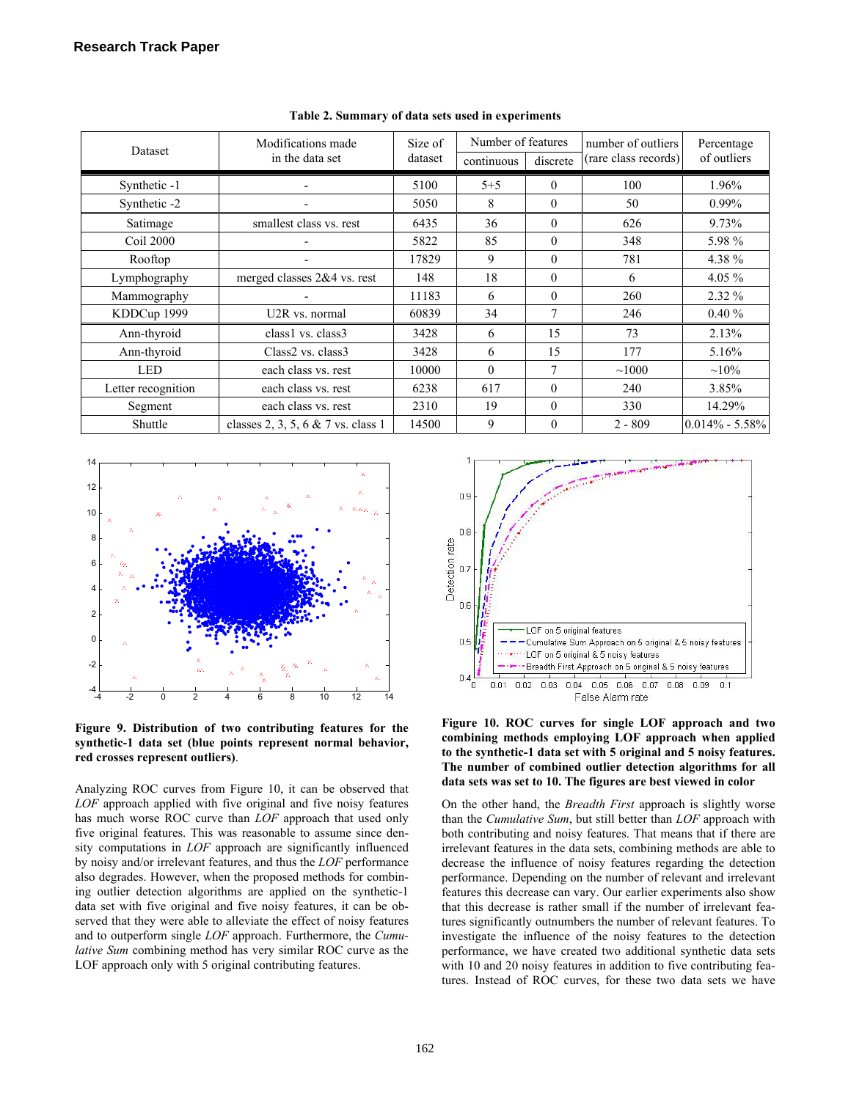| Dataset            | Modifications made<br>in the data set     | Size of<br>dataset | Number of features<br>continuous | discrete       | number of outliers<br>(rare class records) | Percentage<br>of outliers |
|--------------------|-------------------------------------------|--------------------|----------------------------------|----------------|--------------------------------------------|---------------------------|
| Synthetic -1       | -                                         | 5100               | $5 + 5$                          | $\theta$       | 100                                        | 1.96%                     |
| Synthetic -2       | $\blacksquare$                            | 5050               | 8                                | $\mathbf{0}$   | 50                                         | 0.99%                     |
| Satimage           | smallest class vs. rest                   | 6435               | 36                               | $\Omega$       | 626                                        | 9.73%                     |
| Coil 2000          |                                           | 5822               | 85                               | $\theta$       | 348                                        | 5.98 %                    |
| Rooftop            | ۰                                         | 17829              | 9                                | $\theta$       | 781                                        | 4.38 %                    |
| Lymphography       | merged classes $2&4$ vs. rest             | 148                | 18                               | $\Omega$       | 6                                          | 4.05 $%$                  |
| Mammography        |                                           | 11183              | 6                                | $\theta$       | 260                                        | $2.32\%$                  |
| KDDCup 1999        | U <sub>2</sub> R vs. normal               | 60839              | 34                               | 7              | 246                                        | 0.40%                     |
| Ann-thyroid        | class1 vs. class3                         | 3428               | 6                                | 15             | 73                                         | 2.13%                     |
| Ann-thyroid        | Class <sub>2</sub> vs. class <sub>3</sub> | 3428               | 6                                | 15             | 177                                        | 5.16%                     |
| <b>LED</b>         | each class vs. rest                       | 10000              | $\theta$                         | $\overline{7}$ | ~1000                                      | $~10\%$                   |
| Letter recognition | each class vs. rest                       | 6238               | 617                              | $\theta$       | 240                                        | 3.85%                     |
| Segment            | each class vs. rest                       | 2310               | 19                               | $\Omega$       | 330                                        | 14.29%                    |
| Shuttle            | classes 2, 3, 5, 6 $& 7$ vs. class 1      | 14500              | 9                                | $\theta$       | $2 - 809$                                  | $0.014\% - 5.58\%$        |

**Table 2. Summary of data sets used in experiments** 



**Figure 9. Distribution of two contributing features for the synthetic-1 data set (blue points represent normal behavior, red crosses represent outliers)**.

Analyzing ROC curves from Figure 10, it can be observed that *LOF* approach applied with five original and five noisy features has much worse ROC curve than *LOF* approach that used only five original features. This was reasonable to assume since density computations in *LOF* approach are significantly influenced by noisy and/or irrelevant features, and thus the *LOF* performance also degrades. However, when the proposed methods for combining outlier detection algorithms are applied on the synthetic-1 data set with five original and five noisy features, it can be observed that they were able to alleviate the effect of noisy features and to outperform single *LOF* approach. Furthermore, the *Cumulative Sum* combining method has very similar ROC curve as the LOF approach only with 5 original contributing features.



**Figure 10. ROC curves for single LOF approach and two combining methods employing LOF approach when applied to the synthetic-1 data set with 5 original and 5 noisy features. The number of combined outlier detection algorithms for all data sets was set to 10. The figures are best viewed in color**

On the other hand, the *Breadth First* approach is slightly worse than the *Cumulative Sum*, but still better than *LOF* approach with both contributing and noisy features. That means that if there are irrelevant features in the data sets, combining methods are able to decrease the influence of noisy features regarding the detection performance. Depending on the number of relevant and irrelevant features this decrease can vary. Our earlier experiments also show that this decrease is rather small if the number of irrelevant features significantly outnumbers the number of relevant features. To investigate the influence of the noisy features to the detection performance, we have created two additional synthetic data sets with 10 and 20 noisy features in addition to five contributing features. Instead of ROC curves, for these two data sets we have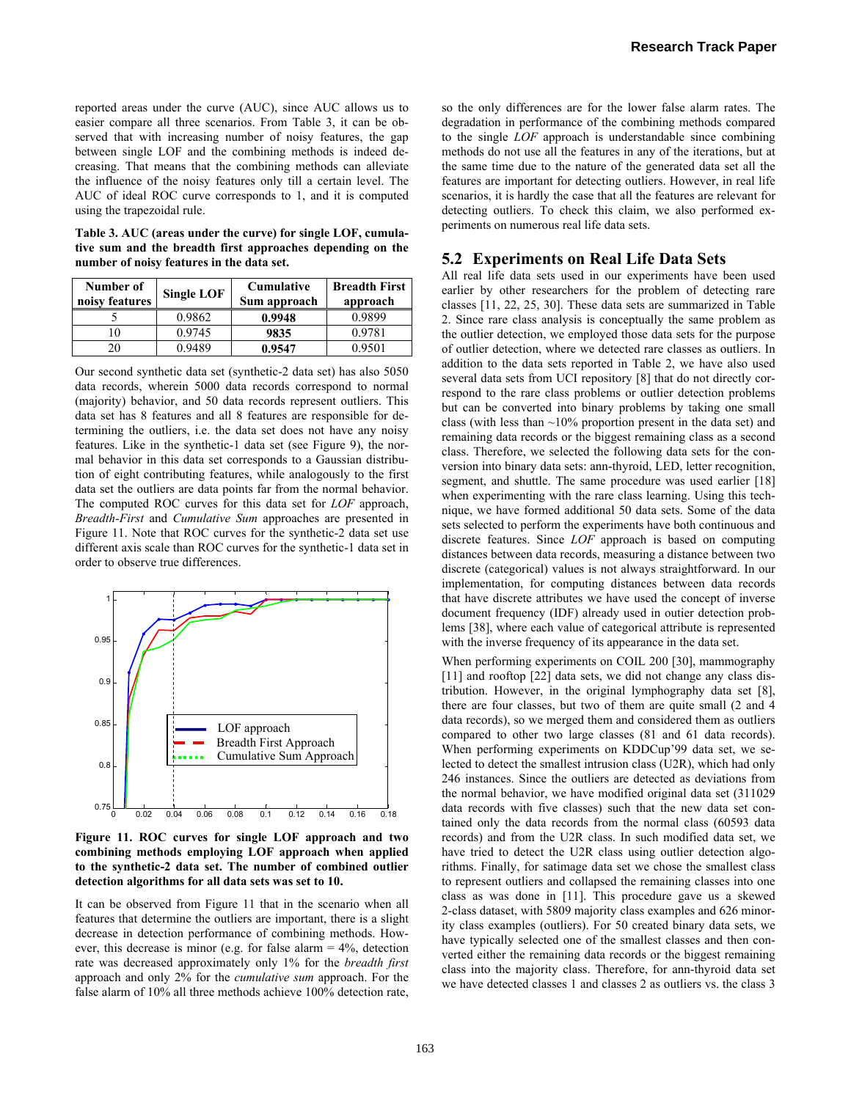reported areas under the curve (AUC), since AUC allows us to easier compare all three scenarios. From Table 3, it can be observed that with increasing number of noisy features, the gap between single LOF and the combining methods is indeed decreasing. That means that the combining methods can alleviate the influence of the noisy features only till a certain level. The AUC of ideal ROC curve corresponds to 1, and it is computed using the trapezoidal rule.

**Table 3. AUC (areas under the curve) for single LOF, cumulative sum and the breadth first approaches depending on the number of noisy features in the data set.** 

| Number of      | Single LOF | Cumulative   | <b>Breadth First</b> |
|----------------|------------|--------------|----------------------|
| noisy features |            | Sum approach | approach             |
|                | 0.9862     | 0.9948       | 0.9899               |
|                | 0.9745     | 9835         | 0.9781               |
|                | 0.9489     | 0.9547       | 0.9501               |

Our second synthetic data set (synthetic-2 data set) has also 5050 data records, wherein 5000 data records correspond to normal (majority) behavior, and 50 data records represent outliers. This data set has 8 features and all 8 features are responsible for determining the outliers, i.e. the data set does not have any noisy features. Like in the synthetic-1 data set (see Figure 9), the normal behavior in this data set corresponds to a Gaussian distribution of eight contributing features, while analogously to the first data set the outliers are data points far from the normal behavior. The computed ROC curves for this data set for *LOF* approach, *Breadth-First* and *Cumulative Sum* approaches are presented in Figure 11. Note that ROC curves for the synthetic-2 data set use different axis scale than ROC curves for the synthetic-1 data set in order to observe true differences.



**Figure 11. ROC curves for single LOF approach and two combining methods employing LOF approach when applied to the synthetic-2 data set. The number of combined outlier detection algorithms for all data sets was set to 10.** 

It can be observed from Figure 11 that in the scenario when all features that determine the outliers are important, there is a slight decrease in detection performance of combining methods. However, this decrease is minor (e.g. for false alarm  $= 4\%$ , detection rate was decreased approximately only 1% for the *breadth first* approach and only 2% for the *cumulative sum* approach. For the false alarm of 10% all three methods achieve 100% detection rate,

so the only differences are for the lower false alarm rates. The degradation in performance of the combining methods compared to the single *LOF* approach is understandable since combining methods do not use all the features in any of the iterations, but at the same time due to the nature of the generated data set all the features are important for detecting outliers. However, in real life scenarios, it is hardly the case that all the features are relevant for detecting outliers. To check this claim, we also performed experiments on numerous real life data sets.

### **5.2 Experiments on Real Life Data Sets**

All real life data sets used in our experiments have been used earlier by other researchers for the problem of detecting rare classes [11, 22, 25, 30]. These data sets are summarized in Table 2. Since rare class analysis is conceptually the same problem as the outlier detection, we employed those data sets for the purpose of outlier detection, where we detected rare classes as outliers. In addition to the data sets reported in Table 2, we have also used several data sets from UCI repository [8] that do not directly correspond to the rare class problems or outlier detection problems but can be converted into binary problems by taking one small class (with less than  $\sim$ 10% proportion present in the data set) and remaining data records or the biggest remaining class as a second class. Therefore, we selected the following data sets for the conversion into binary data sets: ann-thyroid, LED, letter recognition, segment, and shuttle. The same procedure was used earlier [18] when experimenting with the rare class learning. Using this technique, we have formed additional 50 data sets. Some of the data sets selected to perform the experiments have both continuous and discrete features. Since *LOF* approach is based on computing distances between data records, measuring a distance between two discrete (categorical) values is not always straightforward. In our implementation, for computing distances between data records that have discrete attributes we have used the concept of inverse document frequency (IDF) already used in outier detection problems [38], where each value of categorical attribute is represented with the inverse frequency of its appearance in the data set.

When performing experiments on COIL 200 [30], mammography [11] and rooftop [22] data sets, we did not change any class distribution. However, in the original lymphography data set [8], there are four classes, but two of them are quite small (2 and 4 data records), so we merged them and considered them as outliers compared to other two large classes (81 and 61 data records). When performing experiments on KDDCup'99 data set, we selected to detect the smallest intrusion class (U2R), which had only 246 instances. Since the outliers are detected as deviations from the normal behavior, we have modified original data set (311029 data records with five classes) such that the new data set contained only the data records from the normal class (60593 data records) and from the U2R class. In such modified data set, we have tried to detect the U2R class using outlier detection algorithms. Finally, for satimage data set we chose the smallest class to represent outliers and collapsed the remaining classes into one class as was done in [11]. This procedure gave us a skewed 2-class dataset, with 5809 majority class examples and 626 minority class examples (outliers). For 50 created binary data sets, we have typically selected one of the smallest classes and then converted either the remaining data records or the biggest remaining class into the majority class. Therefore, for ann-thyroid data set we have detected classes 1 and classes 2 as outliers vs. the class 3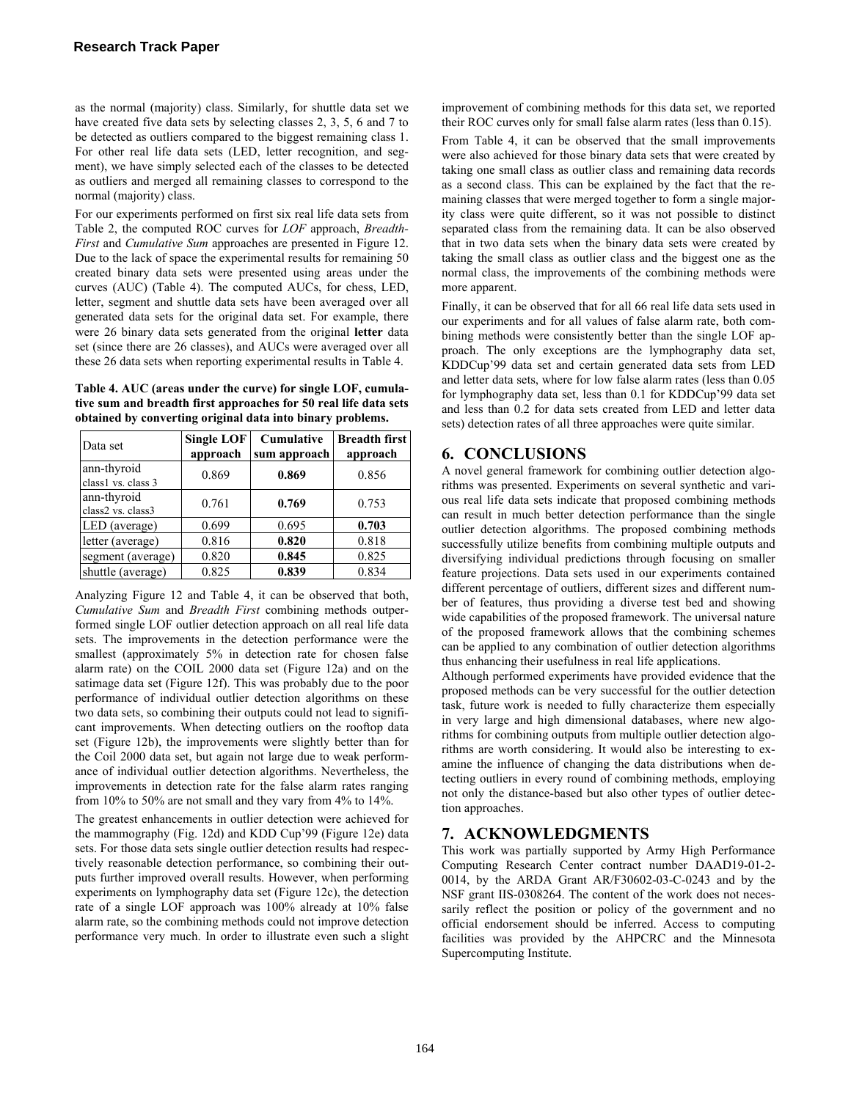as the normal (majority) class. Similarly, for shuttle data set we have created five data sets by selecting classes 2, 3, 5, 6 and 7 to be detected as outliers compared to the biggest remaining class 1. For other real life data sets (LED, letter recognition, and segment), we have simply selected each of the classes to be detected as outliers and merged all remaining classes to correspond to the normal (majority) class.

For our experiments performed on first six real life data sets from Table 2, the computed ROC curves for *LOF* approach, *Breadth-First* and *Cumulative Sum* approaches are presented in Figure 12. Due to the lack of space the experimental results for remaining 50 created binary data sets were presented using areas under the curves (AUC) (Table 4). The computed AUCs, for chess, LED, letter, segment and shuttle data sets have been averaged over all generated data sets for the original data set. For example, there were 26 binary data sets generated from the original **letter** data set (since there are 26 classes), and AUCs were averaged over all these 26 data sets when reporting experimental results in Table 4.

**Table 4. AUC (areas under the curve) for single LOF, cumulative sum and breadth first approaches for 50 real life data sets obtained by converting original data into binary problems.** 

| Data set                          | <b>Single LOF</b><br>approach | <b>Cumulative</b><br>sum approach | <b>Breadth first</b><br>approach |
|-----------------------------------|-------------------------------|-----------------------------------|----------------------------------|
| ann-thyroid<br>class1 vs. class 3 | 0.869                         | 0.869                             | 0.856                            |
| ann-thyroid<br>class2 vs. class3  | 0.761                         | 0.769                             | 0.753                            |
| LED (average)                     | 0.699                         | 0.695                             | 0.703                            |
| letter (average)                  | 0.816                         | 0.820                             | 0.818                            |
| segment (average)                 | 0.820                         | 0.845                             | 0.825                            |
| shuttle (average)                 | 0.825                         | 0.839                             | 0.834                            |

Analyzing Figure 12 and Table 4, it can be observed that both, *Cumulative Sum* and *Breadth First* combining methods outperformed single LOF outlier detection approach on all real life data sets. The improvements in the detection performance were the smallest (approximately 5% in detection rate for chosen false alarm rate) on the COIL 2000 data set (Figure 12a) and on the satimage data set (Figure 12f). This was probably due to the poor performance of individual outlier detection algorithms on these two data sets, so combining their outputs could not lead to significant improvements. When detecting outliers on the rooftop data set (Figure 12b), the improvements were slightly better than for the Coil 2000 data set, but again not large due to weak performance of individual outlier detection algorithms. Nevertheless, the improvements in detection rate for the false alarm rates ranging from 10% to 50% are not small and they vary from 4% to 14%.

The greatest enhancements in outlier detection were achieved for the mammography (Fig. 12d) and KDD Cup'99 (Figure 12e) data sets. For those data sets single outlier detection results had respectively reasonable detection performance, so combining their outputs further improved overall results. However, when performing experiments on lymphography data set (Figure 12c), the detection rate of a single LOF approach was 100% already at 10% false alarm rate, so the combining methods could not improve detection performance very much. In order to illustrate even such a slight improvement of combining methods for this data set, we reported their ROC curves only for small false alarm rates (less than 0.15).

From Table 4, it can be observed that the small improvements were also achieved for those binary data sets that were created by taking one small class as outlier class and remaining data records as a second class. This can be explained by the fact that the remaining classes that were merged together to form a single majority class were quite different, so it was not possible to distinct separated class from the remaining data. It can be also observed that in two data sets when the binary data sets were created by taking the small class as outlier class and the biggest one as the normal class, the improvements of the combining methods were more apparent.

Finally, it can be observed that for all 66 real life data sets used in our experiments and for all values of false alarm rate, both combining methods were consistently better than the single LOF approach. The only exceptions are the lymphography data set, KDDCup'99 data set and certain generated data sets from LED and letter data sets, where for low false alarm rates (less than 0.05 for lymphography data set, less than 0.1 for KDDCup'99 data set and less than 0.2 for data sets created from LED and letter data sets) detection rates of all three approaches were quite similar.

# **6. CONCLUSIONS**

A novel general framework for combining outlier detection algorithms was presented. Experiments on several synthetic and various real life data sets indicate that proposed combining methods can result in much better detection performance than the single outlier detection algorithms. The proposed combining methods successfully utilize benefits from combining multiple outputs and diversifying individual predictions through focusing on smaller feature projections. Data sets used in our experiments contained different percentage of outliers, different sizes and different number of features, thus providing a diverse test bed and showing wide capabilities of the proposed framework. The universal nature of the proposed framework allows that the combining schemes can be applied to any combination of outlier detection algorithms thus enhancing their usefulness in real life applications.

Although performed experiments have provided evidence that the proposed methods can be very successful for the outlier detection task, future work is needed to fully characterize them especially in very large and high dimensional databases, where new algorithms for combining outputs from multiple outlier detection algorithms are worth considering. It would also be interesting to examine the influence of changing the data distributions when detecting outliers in every round of combining methods, employing not only the distance-based but also other types of outlier detection approaches.

# **7. ACKNOWLEDGMENTS**

This work was partially supported by Army High Performance Computing Research Center contract number DAAD19-01-2- 0014, by the ARDA Grant AR/F30602-03-C-0243 and by the NSF grant IIS-0308264. The content of the work does not necessarily reflect the position or policy of the government and no official endorsement should be inferred. Access to computing facilities was provided by the AHPCRC and the Minnesota Supercomputing Institute.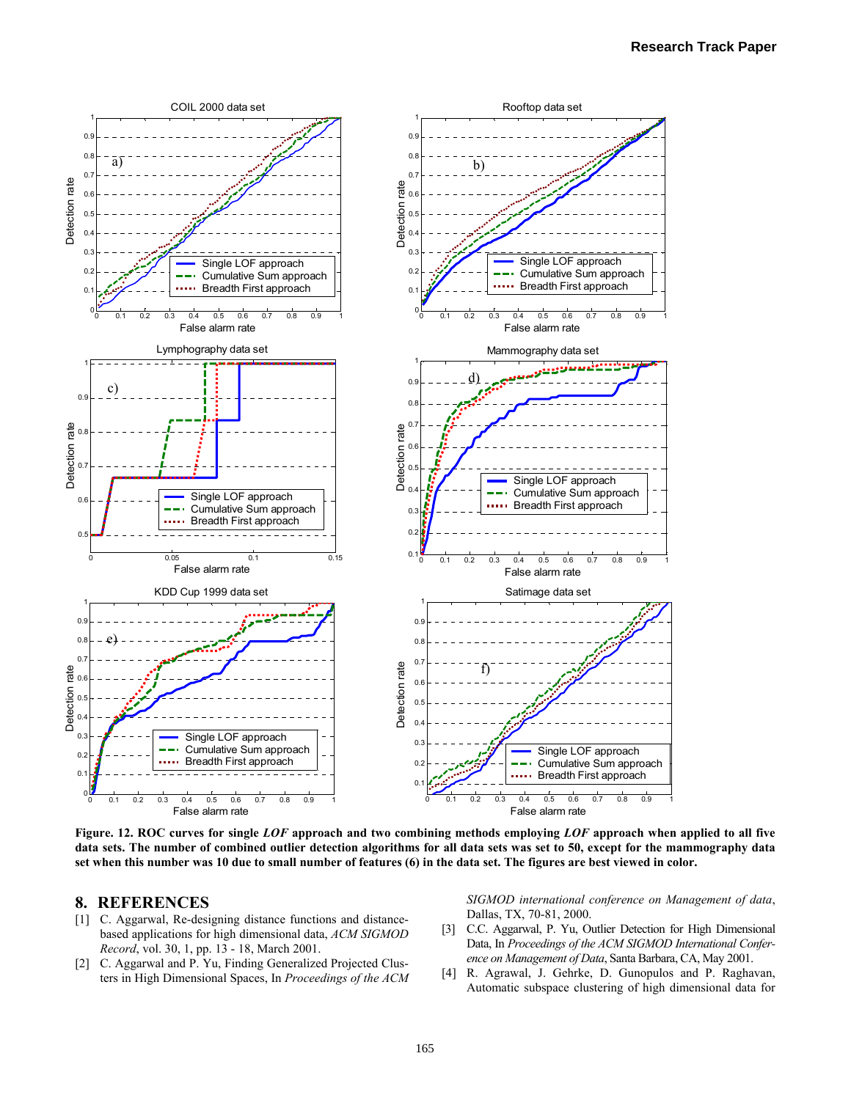

**Figure. 12. ROC curves for single** *LOF* **approach and two combining methods employing** *LOF* **approach when applied to all five data sets. The number of combined outlier detection algorithms for all data sets was set to 50, except for the mammography data set when this number was 10 due to small number of features (6) in the data set. The figures are best viewed in color.** 

### **8. REFERENCES**

- [1] C. Aggarwal, Re-designing distance functions and distancebased applications for high dimensional data, *ACM SIGMOD Record*, vol. 30, 1, pp. 13 - 18, March 2001.
- [2] C. Aggarwal and P. Yu, Finding Generalized Projected Clusters in High Dimensional Spaces, In *Proceedings of the ACM*

*SIGMOD international conference on Management of data*, Dallas, TX, 70-81, 2000.

- [3] C.C. Aggarwal, P. Yu, Outlier Detection for High Dimensional Data, In *Proceedings of the ACM SIGMOD International Conference on Management of Data*, Santa Barbara, CA, May 2001.
- [4] R. Agrawal, J. Gehrke, D. Gunopulos and P. Raghavan, Automatic subspace clustering of high dimensional data for